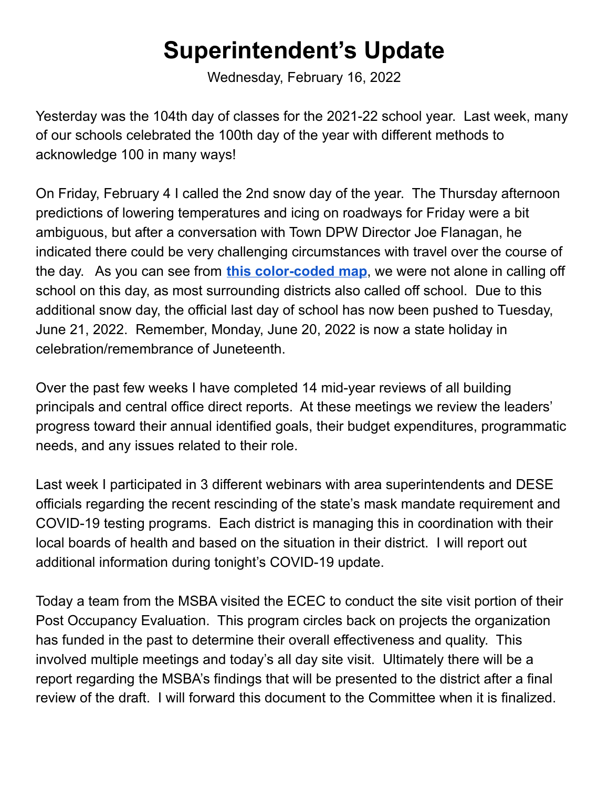## **Superintendent's Update**

Wednesday, February 16, 2022

Yesterday was the 104th day of classes for the 2021-22 school year. Last week, many of our schools celebrated the 100th day of the year with different methods to acknowledge 100 in many ways!

On Friday, February 4 I called the 2nd snow day of the year. The Thursday afternoon predictions of lowering temperatures and icing on roadways for Friday were a bit ambiguous, but after a conversation with Town DPW Director Joe Flanagan, he indicated there could be very challenging circumstances with travel over the course of the day. As you can see from **this [color-coded](https://drive.google.com/file/d/1XM6NIOFqDgcZcv4AIo2_bOfoBztSByJu/view?usp=sharing) map**, we were not alone in calling off school on this day, as most surrounding districts also called off school. Due to this additional snow day, the official last day of school has now been pushed to Tuesday, June 21, 2022. Remember, Monday, June 20, 2022 is now a state holiday in celebration/remembrance of Juneteenth.

Over the past few weeks I have completed 14 mid-year reviews of all building principals and central office direct reports. At these meetings we review the leaders' progress toward their annual identified goals, their budget expenditures, programmatic needs, and any issues related to their role.

Last week I participated in 3 different webinars with area superintendents and DESE officials regarding the recent rescinding of the state's mask mandate requirement and COVID-19 testing programs. Each district is managing this in coordination with their local boards of health and based on the situation in their district. I will report out additional information during tonight's COVID-19 update.

Today a team from the MSBA visited the ECEC to conduct the site visit portion of their Post Occupancy Evaluation. This program circles back on projects the organization has funded in the past to determine their overall effectiveness and quality. This involved multiple meetings and today's all day site visit. Ultimately there will be a report regarding the MSBA's findings that will be presented to the district after a final review of the draft. I will forward this document to the Committee when it is finalized.